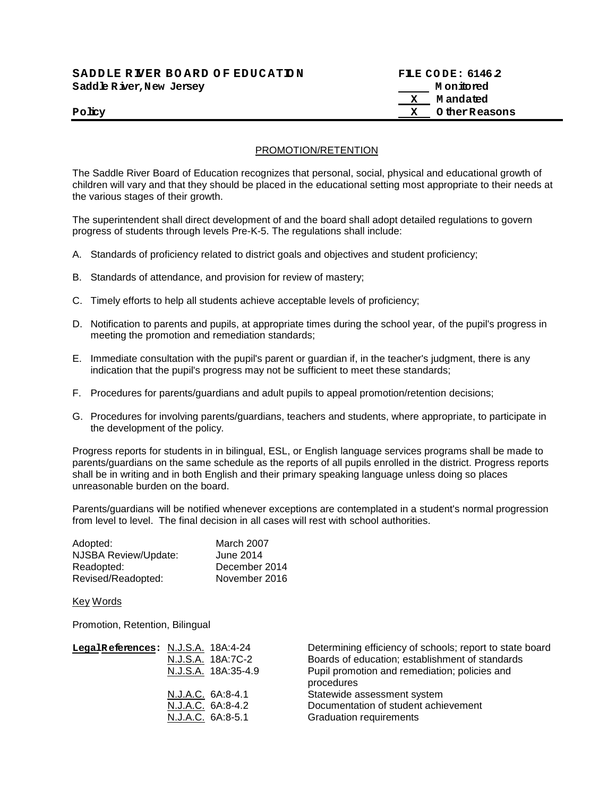| SADDLE RIVER BOARD OF EDUCATION | FILE CODE: 6146.2 |
|---------------------------------|-------------------|
| Saddle River, New Jersey        | M on ito red      |
|                                 | M andated         |
| Policy                          | X OtherReasons    |

## PROMOTION/RETENTION

The Saddle River Board of Education recognizes that personal, social, physical and educational growth of children will vary and that they should be placed in the educational setting most appropriate to their needs at the various stages of their growth.

The superintendent shall direct development of and the board shall adopt detailed regulations to govern progress of students through levels Pre-K-5. The regulations shall include:

- A. Standards of proficiency related to district goals and objectives and student proficiency;
- B. Standards of attendance, and provision for review of mastery;
- C. Timely efforts to help all students achieve acceptable levels of proficiency;
- D. Notification to parents and pupils, at appropriate times during the school year, of the pupil's progress in meeting the promotion and remediation standards;
- E. Immediate consultation with the pupil's parent or guardian if, in the teacher's judgment, there is any indication that the pupil's progress may not be sufficient to meet these standards;
- F. Procedures for parents/guardians and adult pupils to appeal promotion/retention decisions;
- G. Procedures for involving parents/guardians, teachers and students, where appropriate, to participate in the development of the policy.

Progress reports for students in in bilingual, ESL, or English language services programs shall be made to parents/guardians on the same schedule as the reports of all pupils enrolled in the district. Progress reports shall be in writing and in both English and their primary speaking language unless doing so places unreasonable burden on the board.

Parents/guardians will be notified whenever exceptions are contemplated in a student's normal progression from level to level. The final decision in all cases will rest with school authorities.

| Adopted:             | March 2007    |
|----------------------|---------------|
| NJSBA Review/Update: | June 2014     |
| Readopted:           | December 2014 |
| Revised/Readopted:   | November 2016 |

Key Words

Promotion, Retention, Bilingual

| LegalReferences: N.J.S.A. 18A:4-24 | N.J.S.A. 18A:7C-2<br>N.J.S.A. 18A:35-4.9 | Determining efficiency of schools; report to state board<br>Boards of education; establishment of standards<br>Pupil promotion and remediation; policies and<br>procedures |
|------------------------------------|------------------------------------------|----------------------------------------------------------------------------------------------------------------------------------------------------------------------------|
|                                    | N.J.A.C. 6A:8-4.1                        | Statewide assessment system                                                                                                                                                |
|                                    | N.J.A.C. 6A:8-4.2                        | Documentation of student achievement                                                                                                                                       |
|                                    | N.J.A.C. 6A:8-5.1                        | <b>Graduation requirements</b>                                                                                                                                             |